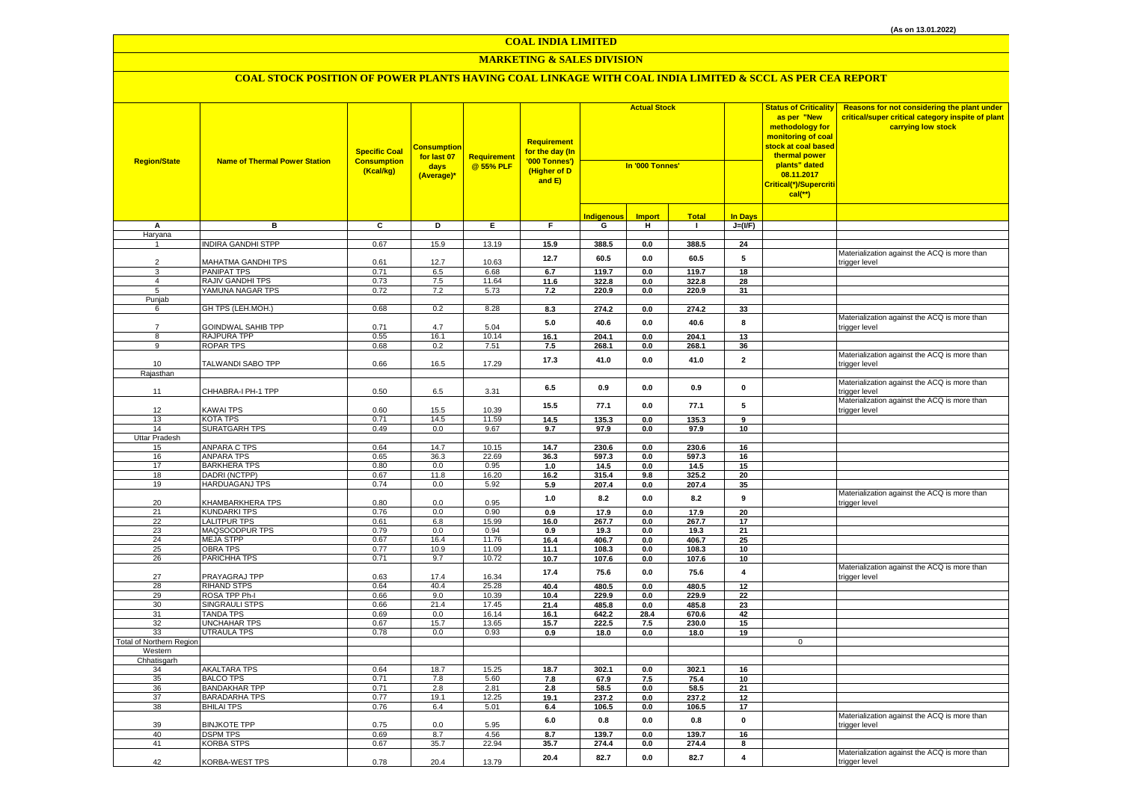## **MARKETING & SALES DIVISION**

| <b>Region/State</b>      | <b>Name of Thermal Power Station</b>      | <b>Specific Coal</b><br><b>Consumption</b><br>(Kcal/kg) | <u>Consumption</u><br>for last 07<br>days<br>(Average)* | Requirement<br>@ 55% PLF | <b>Requirement</b><br>for the day (In<br>'000 Tonnes')<br>(Higher of D<br>and E) | <b>Actual Stock</b><br>In '000 Tonnes' |                     |                | <b>Status of Criticality</b><br>as per "New<br>methodology for<br>monitoring of coal<br><mark>stock at coal based</mark><br>thermal power<br>plants" dated<br>08.11.2017<br>Critical(*)/Supercriti<br>$cal$ (**) | Reasons for not considering the plant under<br>critical/super critical category inspite of plant<br>carrying low stock |                                                               |
|--------------------------|-------------------------------------------|---------------------------------------------------------|---------------------------------------------------------|--------------------------|----------------------------------------------------------------------------------|----------------------------------------|---------------------|----------------|------------------------------------------------------------------------------------------------------------------------------------------------------------------------------------------------------------------|------------------------------------------------------------------------------------------------------------------------|---------------------------------------------------------------|
|                          |                                           |                                                         |                                                         |                          |                                                                                  |                                        |                     | <b>Total</b>   | <b>In Days</b>                                                                                                                                                                                                   |                                                                                                                        |                                                               |
| А                        | в                                         | C                                                       | D                                                       | Е.                       | F.                                                                               | <b>Indigenous</b><br>G                 | <b>Import</b><br>н. | $\mathbf{L}$   | $J=(I/F)$                                                                                                                                                                                                        |                                                                                                                        |                                                               |
| Haryana                  |                                           |                                                         |                                                         |                          |                                                                                  |                                        |                     |                |                                                                                                                                                                                                                  |                                                                                                                        |                                                               |
|                          | <b>INDIRA GANDHI STPP</b>                 | 0.67                                                    | 15.9                                                    | 13.19                    | 15.9                                                                             | 388.5                                  | 0.0                 | 388.5          | 24                                                                                                                                                                                                               |                                                                                                                        |                                                               |
| $\overline{2}$           | MAHATMA GANDHI TPS                        | 0.61                                                    | 12.7                                                    | 10.63                    | 12.7                                                                             | 60.5                                   | $0.0\,$             | 60.5           | 5                                                                                                                                                                                                                |                                                                                                                        | Materialization against the ACQ is more than<br>trigger level |
| 3                        | <b>PANIPAT TPS</b>                        | 0.71                                                    | 6.5                                                     | 6.68                     | 6.7                                                                              | 119.7                                  | 0.0                 | 119.7          | 18                                                                                                                                                                                                               |                                                                                                                        |                                                               |
| $\overline{4}$           | <b>RAJIV GANDHI TPS</b>                   | 0.73                                                    | 7.5                                                     | 11.64                    | 11.6                                                                             | 322.8                                  | 0.0                 | 322.8          | 28                                                                                                                                                                                                               |                                                                                                                        |                                                               |
| 5                        | YAMUNA NAGAR TPS                          | 0.72                                                    | 7.2                                                     | 5.73                     | 7.2                                                                              | 220.9                                  | 0.0                 | 220.9          | 31                                                                                                                                                                                                               |                                                                                                                        |                                                               |
| Punjab<br>6              | GH TPS (LEH.MOH.)                         | 0.68                                                    | 0.2                                                     | 8.28                     | 8.3                                                                              | 274.2                                  | 0.0                 | 274.2          | 33                                                                                                                                                                                                               |                                                                                                                        |                                                               |
| $\overline{7}$           | GOINDWAL SAHIB TPP                        | 0.71                                                    | 4.7                                                     | 5.04                     | $5.0\,$                                                                          | 40.6                                   | $0.0\,$             | 40.6           | 8                                                                                                                                                                                                                |                                                                                                                        | Materialization against the ACQ is more than<br>trigger level |
| 8                        | RAJPURA TPP                               | 0.55                                                    | 16.1                                                    | 10.14                    | 16.1                                                                             | 204.1                                  | 0.0                 | 204.1          | 13                                                                                                                                                                                                               |                                                                                                                        |                                                               |
| 9                        | ROPAR TPS                                 | 0.68                                                    | 0.2                                                     | 7.51                     | 7.5                                                                              | 268.1                                  | 0.0                 | 268.1          | 36                                                                                                                                                                                                               |                                                                                                                        |                                                               |
| 10                       | TALWANDI SABO TPP                         | 0.66                                                    | 16.5                                                    | 17.29                    | 17.3                                                                             | 41.0                                   | 0.0                 | 41.0           | $\mathbf{2}$                                                                                                                                                                                                     |                                                                                                                        | Materialization against the ACQ is more than<br>trigger level |
| Rajasthan                |                                           |                                                         |                                                         |                          |                                                                                  |                                        |                     |                |                                                                                                                                                                                                                  |                                                                                                                        |                                                               |
| 11                       | CHHABRA-I PH-1 TPP                        | 0.50                                                    | 6.5                                                     | 3.31                     | 6.5                                                                              | 0.9                                    | 0.0                 | 0.9            | 0                                                                                                                                                                                                                |                                                                                                                        | Materialization against the ACQ is more than<br>trigger level |
|                          |                                           |                                                         |                                                         |                          | 15.5                                                                             | 77.1                                   | 0.0                 | 77.1           | 5                                                                                                                                                                                                                |                                                                                                                        | Materialization against the ACQ is more than                  |
| 12<br>13                 | KAWAI TPS<br>KOTA TPS                     | 0.60<br>0.71                                            | 15.5<br>14.5                                            | 10.39<br>11.59           | 14.5                                                                             | 135.3                                  | 0.0                 | 135.3          | 9                                                                                                                                                                                                                |                                                                                                                        | trigger level                                                 |
| 14                       | <b>SURATGARH TPS</b>                      | 0.49                                                    | 0.0                                                     | 9.67                     | 9.7                                                                              | 97.9                                   | $0.0\,$             | 97.9           | 10                                                                                                                                                                                                               |                                                                                                                        |                                                               |
| Uttar Pradesh            |                                           |                                                         |                                                         |                          |                                                                                  |                                        |                     |                |                                                                                                                                                                                                                  |                                                                                                                        |                                                               |
| 15                       | <b>ANPARA C TPS</b>                       | 0.64                                                    | 14.7                                                    | 10.15                    | 14.7                                                                             | 230.6                                  | 0.0                 | 230.6          | 16                                                                                                                                                                                                               |                                                                                                                        |                                                               |
| 16                       | <b>ANPARA TPS</b>                         | 0.65                                                    | 36.3                                                    | 22.69                    | 36.3                                                                             | 597.3                                  | 0.0                 | 597.3          | 16                                                                                                                                                                                                               |                                                                                                                        |                                                               |
| 17                       | <b>BARKHERA TPS</b>                       | 0.80                                                    | 0.0                                                     | 0.95                     | 1.0                                                                              | 14.5                                   | 0.0                 | 14.5           | 15                                                                                                                                                                                                               |                                                                                                                        |                                                               |
| 18                       | DADRI (NCTPP)                             | 0.67                                                    | 11.8                                                    | 16.20                    | 16.2                                                                             | 315.4                                  | 9.8                 | 325.2          | 20                                                                                                                                                                                                               |                                                                                                                        |                                                               |
| 19                       | <b>HARDUAGANJ TPS</b>                     | 0.74                                                    | 0.0                                                     | 5.92                     | 5.9                                                                              | 207.4                                  | $0.0\,$             | 207.4          | 35                                                                                                                                                                                                               |                                                                                                                        |                                                               |
| 20                       | <b>KHAMBARKHERA TPS</b>                   | 0.80                                                    | 0.0                                                     | 0.95                     | $1.0\,$                                                                          | 8.2                                    | $0.0\,$             | 8.2            | $\boldsymbol{9}$                                                                                                                                                                                                 |                                                                                                                        | Materialization against the ACQ is more than<br>trigger level |
| 21<br>22                 | <b>KUNDARKI TPS</b>                       | 0.76                                                    | 0.0<br>6.8                                              | 0.90<br>15.99            | 0.9                                                                              | 17.9                                   | 0.0                 | 17.9           | 20<br>17                                                                                                                                                                                                         |                                                                                                                        |                                                               |
| 23                       | <b>LALITPUR TPS</b><br>MAQSOODPUR TPS     | 0.61<br>0.79                                            | 0.0                                                     | 0.94                     | 16.0<br>0.9                                                                      | 267.7<br>19.3                          | 0.0<br>0.0          | 267.7<br>19.3  | 21                                                                                                                                                                                                               |                                                                                                                        |                                                               |
| 24                       | <b>MEJA STPP</b>                          | 0.67                                                    | 16.4                                                    | 11.76                    | 16.4                                                                             | 406.7                                  | 0.0                 | 406.7          | 25                                                                                                                                                                                                               |                                                                                                                        |                                                               |
| 25                       | <b>OBRA TPS</b>                           | 0.77                                                    | 10.9                                                    | 11.09                    | 11.1                                                                             | 108.3                                  | 0.0                 | 108.3          | 10                                                                                                                                                                                                               |                                                                                                                        |                                                               |
| 26                       | PARICHHA TPS                              | 0.71                                                    | 9.7                                                     | 10.72                    | 10.7                                                                             | 107.6                                  | 0.0                 | 107.6          | 10                                                                                                                                                                                                               |                                                                                                                        |                                                               |
| 27                       | PRAYAGRAJ TPP                             | 0.63                                                    | 17.4                                                    | 16.34                    | 17.4                                                                             | 75.6                                   | $0.0\,$             | 75.6           | $\overline{\mathbf{4}}$                                                                                                                                                                                          |                                                                                                                        | Materialization against the ACQ is more than<br>trigger level |
| 28                       | <b>RIHAND STPS</b>                        | 0.64                                                    | 40.4                                                    | 25.28                    | 40.4                                                                             | 480.5                                  | 0.0                 | 480.5          | 12                                                                                                                                                                                                               |                                                                                                                        |                                                               |
| 29                       | ROSA TPP Ph-I                             | 0.66                                                    | 9.0                                                     | 10.39                    | 10.4                                                                             | 229.9                                  | $0.0\,$             | 229.9          | 22                                                                                                                                                                                                               |                                                                                                                        |                                                               |
| 30<br>31                 | <b>SINGRAULI STPS</b><br><b>TANDA TPS</b> | 0.66<br>0.69                                            | 21.4<br>0.0                                             | 17.45<br>16.14           | 21.4<br>16.1                                                                     | 485.8<br>642.2                         | 0.0<br>28.4         | 485.8<br>670.6 | 23<br>42                                                                                                                                                                                                         |                                                                                                                        |                                                               |
| 32                       | <b>UNCHAHAR TPS</b>                       | 0.67                                                    | 15.7                                                    | 13.65                    | 15.7                                                                             | 222.5                                  | 7.5                 | 230.0          | 15                                                                                                                                                                                                               |                                                                                                                        |                                                               |
| 33                       | UTRAULA TPS                               | 0.78                                                    | 0.0                                                     | 0.93                     | 0.9                                                                              | 18.0                                   | 0.0                 | 18.0           | 19                                                                                                                                                                                                               |                                                                                                                        |                                                               |
| Total of Northern Region |                                           |                                                         |                                                         |                          |                                                                                  |                                        |                     |                |                                                                                                                                                                                                                  | 0                                                                                                                      |                                                               |
| Western                  |                                           |                                                         |                                                         |                          |                                                                                  |                                        |                     |                |                                                                                                                                                                                                                  |                                                                                                                        |                                                               |
| Chhatisgarh              |                                           |                                                         |                                                         |                          |                                                                                  |                                        |                     |                |                                                                                                                                                                                                                  |                                                                                                                        |                                                               |
| 34                       | <b>AKALTARA TPS</b>                       | 0.64                                                    | 18.7                                                    | 15.25                    | 18.7                                                                             | 302.1                                  | 0.0                 | 302.1          | 16                                                                                                                                                                                                               |                                                                                                                        |                                                               |
| 35<br>36                 | <b>BALCO TPS</b><br><b>BANDAKHAR TPP</b>  | 0.71<br>0.71                                            | 7.8<br>2.8                                              | 5.60<br>2.81             | 7.8<br>2.8                                                                       | 67.9<br>58.5                           | 7.5<br>0.0          | 75.4<br>58.5   | 10<br>21                                                                                                                                                                                                         |                                                                                                                        |                                                               |
| 37                       | <b>BARADARHA TPS</b>                      | 0.77                                                    | 19.1                                                    | 12.25                    | 19.1                                                                             | 237.2                                  | 0.0                 | 237.2          | 12                                                                                                                                                                                                               |                                                                                                                        |                                                               |
| 38                       | <b>BHILAI TPS</b>                         | 0.76                                                    | 6.4                                                     | 5.01                     | 6.4                                                                              | 106.5                                  | $0.0\,$             | 106.5          | 17                                                                                                                                                                                                               |                                                                                                                        |                                                               |
| 39                       | <b>BINJKOTE TPP</b>                       | 0.75                                                    | 0.0                                                     | 5.95                     | $6.0\,$                                                                          | $0.8\,$                                | $0.0\,$             | $0.8\,$        | $\pmb{0}$                                                                                                                                                                                                        |                                                                                                                        | Materialization against the ACQ is more than<br>trigger level |
| 40                       | <b>DSPM TPS</b>                           | 0.69                                                    | 8.7                                                     | 4.56                     | 8.7                                                                              | 139.7                                  | 0.0                 | 139.7          | 16                                                                                                                                                                                                               |                                                                                                                        |                                                               |
| 41                       | <b>KORBA STPS</b>                         | 0.67                                                    | 35.7                                                    | 22.94                    | 35.7                                                                             | 274.4                                  | $0.0\,$             | 274.4          | 8                                                                                                                                                                                                                |                                                                                                                        |                                                               |
| 42                       | <b>KORBA-WEST TPS</b>                     | 0.78                                                    | 20.4                                                    | 13.79                    | 20.4                                                                             | 82.7                                   | 0.0                 | 82.7           | $\overline{4}$                                                                                                                                                                                                   |                                                                                                                        | Materialization against the ACQ is more than<br>trigger level |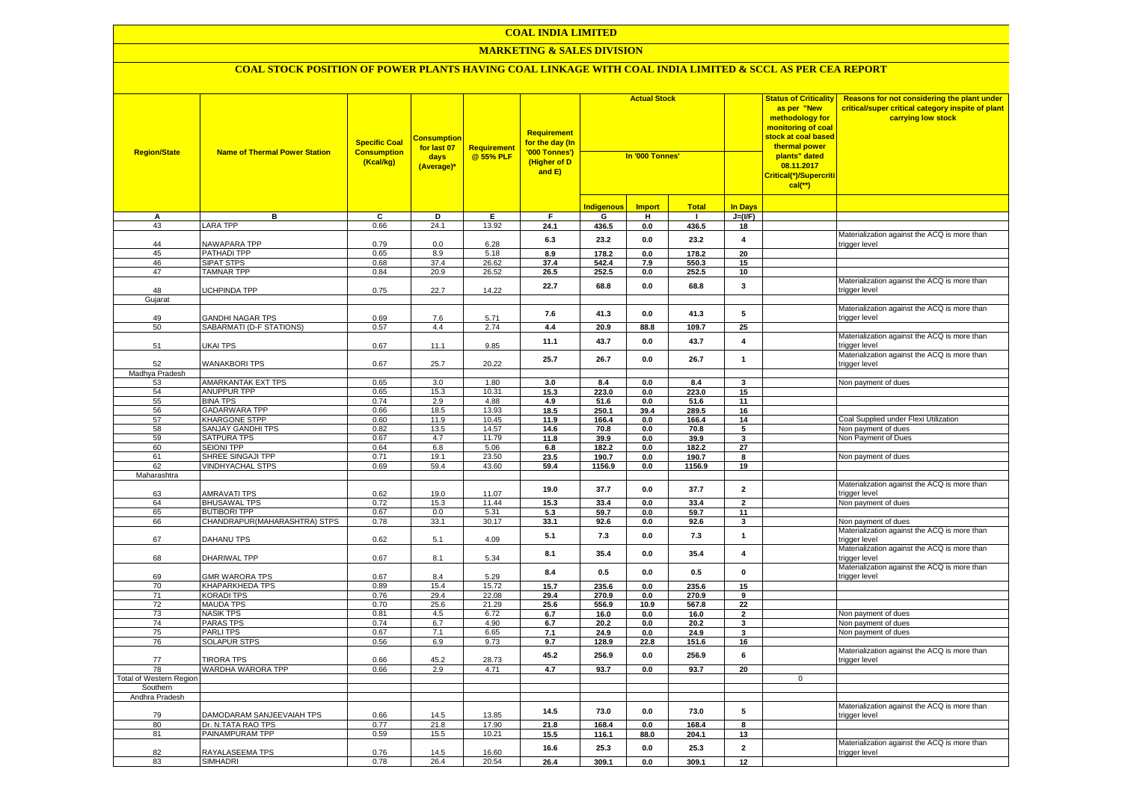## **COAL INDIA LIMITED**

## **MARKETING & SALES DIVISION**

| <b>Region/State</b>            | <b>Name of Thermal Power Station</b>   | <b>Specific Coal</b><br><b>Consumption</b><br>(Kcal/kg) | <b>Consumption</b><br>for last 07<br>days<br>(Average)* | <b>Requirement</b><br>@ 55% PLF | <b>Requirement</b><br>for the day (In<br>'000 Tonnes')<br>(Higher of D<br>and E) | <b>Actual Stock</b><br>In '000 Tonnes' |               |              | <b>Status of Criticality</b><br>as per "New<br>methodology for<br><mark>monitoring of coal</mark><br><mark>stock at coal based</mark><br>thermal power<br>plants" dated<br>08.11.2017<br>Critical(*)/Supercriti<br>$cal$ (**) | Reasons for not considering the plant under<br>critical/super critical category inspite of plant<br>carrying low stock |                                                               |
|--------------------------------|----------------------------------------|---------------------------------------------------------|---------------------------------------------------------|---------------------------------|----------------------------------------------------------------------------------|----------------------------------------|---------------|--------------|-------------------------------------------------------------------------------------------------------------------------------------------------------------------------------------------------------------------------------|------------------------------------------------------------------------------------------------------------------------|---------------------------------------------------------------|
|                                |                                        |                                                         |                                                         |                                 |                                                                                  | <b>Indigenous</b>                      | <b>Import</b> | <b>Total</b> | <b>In Days</b>                                                                                                                                                                                                                |                                                                                                                        |                                                               |
| А                              | в                                      | C                                                       | D                                                       | Е.                              | F.                                                                               | G                                      | н.            | $\mathbf{I}$ | $J=(I/F)$                                                                                                                                                                                                                     |                                                                                                                        |                                                               |
| 43                             | <b>LARA TPP</b>                        | 0.66                                                    | 24.1                                                    | 13.92                           | 24.1                                                                             | 436.5                                  | 0.0           | 436.5        | 18                                                                                                                                                                                                                            |                                                                                                                        |                                                               |
|                                |                                        |                                                         |                                                         |                                 | 6.3                                                                              | 23.2                                   | 0.0           | 23.2         | 4                                                                                                                                                                                                                             |                                                                                                                        | Materialization against the ACQ is more than                  |
| 44                             | NAWAPARA TPP                           | 0.79                                                    | 0.0                                                     | 6.28                            |                                                                                  |                                        |               |              |                                                                                                                                                                                                                               |                                                                                                                        | trigger level                                                 |
| 45                             | PATHADI TPP                            | 0.65                                                    | 8.9                                                     | 5.18                            | 8.9                                                                              | 178.2                                  | 0.0           | 178.2        | 20                                                                                                                                                                                                                            |                                                                                                                        |                                                               |
| 46                             | <b>SIPAT STPS</b>                      | 0.68                                                    | 37.4                                                    | 26.62                           | 37.4                                                                             | 542.4                                  | 7.9           | 550.3        | 15                                                                                                                                                                                                                            |                                                                                                                        |                                                               |
| 47                             | <b>TAMNAR TPP</b>                      | 0.84                                                    | 20.9                                                    | 26.52                           | 26.5                                                                             | 252.5                                  | 0.0           | 252.5        | 10                                                                                                                                                                                                                            |                                                                                                                        |                                                               |
| 48                             | UCHPINDA TPP                           | 0.75                                                    | 22.7                                                    | 14.22                           | 22.7                                                                             | 68.8                                   | 0.0           | 68.8         | 3                                                                                                                                                                                                                             |                                                                                                                        | Materialization against the ACQ is more than<br>trigger level |
| Gujarat                        |                                        |                                                         |                                                         |                                 |                                                                                  |                                        |               |              |                                                                                                                                                                                                                               |                                                                                                                        |                                                               |
|                                |                                        |                                                         |                                                         |                                 |                                                                                  |                                        |               |              |                                                                                                                                                                                                                               |                                                                                                                        | Materialization against the ACQ is more than                  |
| 49                             | <b>GANDHI NAGAR TPS</b>                | 0.69                                                    | 7.6                                                     | 5.71                            | 7.6                                                                              | 41.3                                   | 0.0           | 41.3         | 5                                                                                                                                                                                                                             |                                                                                                                        | trigger level                                                 |
| 50                             | SABARMATI (D-F STATIONS)               | 0.57                                                    | 4.4                                                     | 2.74                            | 4.4                                                                              | 20.9                                   | 88.8          | 109.7        | 25                                                                                                                                                                                                                            |                                                                                                                        |                                                               |
|                                |                                        |                                                         |                                                         |                                 |                                                                                  |                                        |               |              | $\overline{\mathbf{A}}$                                                                                                                                                                                                       |                                                                                                                        | Materialization against the ACQ is more than                  |
| 51                             | <b>UKAI TPS</b>                        | 0.67                                                    | 11.1                                                    | 9.85                            | 11.1                                                                             | 43.7                                   | 0.0           | 43.7         |                                                                                                                                                                                                                               |                                                                                                                        | trigger level                                                 |
|                                |                                        |                                                         |                                                         |                                 | 25.7                                                                             | 26.7                                   | 0.0           | 26.7         | $\mathbf{1}$                                                                                                                                                                                                                  |                                                                                                                        | Materialization against the ACQ is more than                  |
| 52                             | <b>WANAKBORI TPS</b>                   | 0.67                                                    | 25.7                                                    | 20.22                           |                                                                                  |                                        |               |              |                                                                                                                                                                                                                               |                                                                                                                        | trigger level                                                 |
| Madhya Pradesh                 |                                        |                                                         |                                                         |                                 |                                                                                  |                                        |               |              |                                                                                                                                                                                                                               |                                                                                                                        |                                                               |
| 53                             | AMARKANTAK EXT TPS                     | 0.65                                                    | 3.0                                                     | 1.80                            | 3.0                                                                              | 8.4                                    | 0.0           | 8.4          | 3                                                                                                                                                                                                                             |                                                                                                                        | Non payment of dues                                           |
| 54                             | <b>ANUPPUR TPP</b>                     | 0.65                                                    | 15.3                                                    | 10.31                           | 15.3                                                                             | 223.0                                  | 0.0           | 223.0        | 15                                                                                                                                                                                                                            |                                                                                                                        |                                                               |
| 55                             | <b>BINA TPS</b>                        | 0.74                                                    | 2.9                                                     | 4.88                            | 4.9                                                                              | 51.6                                   | 0.0           | 51.6         | 11                                                                                                                                                                                                                            |                                                                                                                        |                                                               |
| 56                             | <b>GADARWARA TPP</b>                   | 0.66                                                    | 18.5                                                    | 13.93                           | 18.5                                                                             | 250.1                                  | 39.4          | 289.5        | 16                                                                                                                                                                                                                            |                                                                                                                        |                                                               |
| 57                             | <b>KHARGONE STPP</b>                   | 0.60                                                    | 11.9                                                    | 10.45                           | 11.9                                                                             | 166.4                                  | 0.0           | 166.4        | 14                                                                                                                                                                                                                            |                                                                                                                        | Coal Supplied under Flexi Utilization                         |
| 58                             | SANJAY GANDHI TPS                      | 0.82                                                    | 13.5                                                    | 14.57                           | 14.6                                                                             | 70.8                                   | 0.0           | 70.8         | 5                                                                                                                                                                                                                             |                                                                                                                        | Non payment of dues                                           |
| 59                             | <b>SATPURA TPS</b>                     | 0.67                                                    | 4.7                                                     | 11.79                           | 11.8                                                                             | 39.9                                   | 0.0           | 39.9         | 3                                                                                                                                                                                                                             |                                                                                                                        | Non Payment of Dues                                           |
| 60                             | <b>SEIONI TPP</b>                      | 0.64                                                    | 6.8                                                     | 5.06                            | 6.8                                                                              | 182.2                                  | 0.0           | 182.2        | 27                                                                                                                                                                                                                            |                                                                                                                        |                                                               |
| 61                             | SHREE SINGAJI TPP                      | 0.71                                                    | 19.1                                                    | 23.50                           | 23.5                                                                             | 190.7                                  | 0.0           | 190.7        | 8                                                                                                                                                                                                                             |                                                                                                                        | Non payment of dues                                           |
| 62                             | <b>VINDHYACHAL STPS</b>                | 0.69                                                    | 59.4                                                    | 43.60                           | 59.4                                                                             | 1156.9                                 | $0.0\,$       | 1156.9       | 19                                                                                                                                                                                                                            |                                                                                                                        |                                                               |
| Maharashtra                    |                                        |                                                         |                                                         |                                 |                                                                                  |                                        |               |              |                                                                                                                                                                                                                               |                                                                                                                        |                                                               |
|                                |                                        |                                                         |                                                         |                                 | 19.0                                                                             | 37.7                                   | $0.0\,$       | 37.7         | $\overline{\mathbf{2}}$                                                                                                                                                                                                       |                                                                                                                        | Materialization against the ACQ is more than                  |
| 63                             | AMRAVATI TPS                           | 0.62                                                    | 19.0                                                    | 11.07                           |                                                                                  |                                        |               |              |                                                                                                                                                                                                                               |                                                                                                                        | trigger level                                                 |
| 64                             | <b>BHUSAWAL TPS</b>                    | 0.72                                                    | 15.3                                                    | 11.44                           | 15.3                                                                             | 33.4                                   | 0.0           | 33.4         | $\overline{2}$                                                                                                                                                                                                                |                                                                                                                        | Non payment of dues                                           |
| 65                             | <b>BUTIBORI TPP</b>                    | 0.67                                                    | 0.0                                                     | 5.31                            | 5.3                                                                              | 59.7                                   | 0.0           | 59.7         | 11                                                                                                                                                                                                                            |                                                                                                                        |                                                               |
| 66                             | CHANDRAPUR(MAHARASHTRA) STPS           | 0.78                                                    | 33.1                                                    | 30.17                           | 33.1                                                                             | 92.6                                   | 0.0           | 92.6         | 3                                                                                                                                                                                                                             |                                                                                                                        | Non payment of dues                                           |
|                                |                                        |                                                         |                                                         |                                 | 5.1                                                                              | 7.3                                    | 0.0           | 7.3          | $\mathbf{1}$                                                                                                                                                                                                                  |                                                                                                                        | Materialization against the ACQ is more than                  |
| 67                             | DAHANU TPS                             | 0.62                                                    | 5.1                                                     | 4.09                            |                                                                                  |                                        |               |              |                                                                                                                                                                                                                               |                                                                                                                        | trigger level                                                 |
|                                |                                        |                                                         |                                                         |                                 | 8.1                                                                              | 35.4                                   | 0.0           | 35.4         | $\overline{4}$                                                                                                                                                                                                                |                                                                                                                        | Materialization against the ACQ is more than                  |
| 68                             | DHARIWAL TPP                           | 0.67                                                    | 8.1                                                     | 5.34                            |                                                                                  |                                        |               |              |                                                                                                                                                                                                                               |                                                                                                                        | trigger level                                                 |
|                                |                                        |                                                         |                                                         |                                 | 8.4                                                                              | 0.5                                    | 0.0           | 0.5          | 0                                                                                                                                                                                                                             |                                                                                                                        | Materialization against the ACQ is more than                  |
| 69                             | GMR WARORA TPS                         | 0.67                                                    | 8.4                                                     | 5.29                            |                                                                                  |                                        |               |              |                                                                                                                                                                                                                               |                                                                                                                        | trigger level                                                 |
| 70                             | <b>KHAPARKHEDA TPS</b>                 | 0.89                                                    | 15.4                                                    | 15.72                           | 15.7                                                                             | 235.6                                  | 0.0           | 235.6        | 15                                                                                                                                                                                                                            |                                                                                                                        |                                                               |
| 71                             | <b>KORADI TPS</b>                      | 0.76                                                    | 29.4                                                    | 22.08                           | 29.4                                                                             | 270.9                                  | 0.0           | 270.9        | 9                                                                                                                                                                                                                             |                                                                                                                        |                                                               |
| 72                             | <b>MAUDA TPS</b>                       | 0.70                                                    | 25.6                                                    | 21.29                           | 25.6                                                                             | 556.9                                  | 10.9          | 567.8        | 22                                                                                                                                                                                                                            |                                                                                                                        |                                                               |
| 73                             | <b>NASIK TPS</b>                       | 0.81                                                    | 4.5                                                     | 6.72                            | 6.7                                                                              | 16.0                                   | 0.0           | 16.0         | $\overline{\mathbf{2}}$                                                                                                                                                                                                       |                                                                                                                        | Non payment of dues                                           |
| 74                             | <b>PARAS TPS</b>                       | 0.74                                                    | 6.7                                                     | 4.90                            | 6.7                                                                              | 20.2                                   | 0.0           | 20.2         | 3                                                                                                                                                                                                                             |                                                                                                                        | Non payment of dues                                           |
| 75                             | PARLI TPS                              | 0.67                                                    | 7.1                                                     | 6.65                            | 7.1                                                                              | 24.9                                   | 0.0           | 24.9         | 3                                                                                                                                                                                                                             |                                                                                                                        | Non payment of dues                                           |
| 76                             | <b>SOLAPUR STPS</b>                    | 0.56                                                    | 6.9                                                     | 9.73                            | 9.7                                                                              | 128.9                                  | 22.8          | 151.6        | 16                                                                                                                                                                                                                            |                                                                                                                        |                                                               |
|                                |                                        |                                                         |                                                         |                                 | 45.2                                                                             | 256.9                                  | 0.0           | 256.9        | 6                                                                                                                                                                                                                             |                                                                                                                        | Materialization against the ACQ is more than                  |
| 77<br>78                       | <b>TIRORA TPS</b><br>WARDHA WARORA TPP | 0.66<br>0.66                                            | 45.2<br>2.9                                             | 28.73<br>4.71                   | 4.7                                                                              | 93.7                                   | 0.0           | 93.7         | 20                                                                                                                                                                                                                            |                                                                                                                        | trigger level                                                 |
| <b>Total of Western Region</b> |                                        |                                                         |                                                         |                                 |                                                                                  |                                        |               |              |                                                                                                                                                                                                                               | $\Omega$                                                                                                               |                                                               |
| Southern                       |                                        |                                                         |                                                         |                                 |                                                                                  |                                        |               |              |                                                                                                                                                                                                                               |                                                                                                                        |                                                               |
| Andhra Pradesh                 |                                        |                                                         |                                                         |                                 |                                                                                  |                                        |               |              |                                                                                                                                                                                                                               |                                                                                                                        |                                                               |
|                                |                                        |                                                         |                                                         |                                 |                                                                                  |                                        |               |              |                                                                                                                                                                                                                               |                                                                                                                        | Materialization against the ACQ is more than                  |
| 79                             | DAMODARAM SANJEEVAIAH TPS              | 0.66                                                    | 14.5                                                    | 13.85                           | 14.5                                                                             | 73.0                                   | $0.0\,$       | 73.0         | 5                                                                                                                                                                                                                             |                                                                                                                        | trigger level                                                 |
| 80                             | Dr. N.TATA RAO TPS                     | 0.77                                                    | 21.8                                                    | 17.90                           | 21.8                                                                             | 168.4                                  | 0.0           | 168.4        | 8                                                                                                                                                                                                                             |                                                                                                                        |                                                               |
| 81                             | PAINAMPURAM TPP                        | 0.59                                                    | 15.5                                                    | 10.21                           | 15.5                                                                             | 116.1                                  | 88.0          | 204.1        | 13                                                                                                                                                                                                                            |                                                                                                                        |                                                               |
|                                |                                        |                                                         |                                                         |                                 |                                                                                  |                                        |               |              |                                                                                                                                                                                                                               |                                                                                                                        | Materialization against the ACQ is more than                  |
| 82                             | RAYALASEEMA TPS                        | 0.76                                                    | 14.5                                                    | 16.60                           | 16.6                                                                             | 25.3                                   | 0.0           | 25.3         | $\overline{\mathbf{2}}$                                                                                                                                                                                                       |                                                                                                                        | trigger level                                                 |
| 83                             | <b>SIMHADRI</b>                        | 0.78                                                    | 26.4                                                    | 20.54                           | 26.4                                                                             | 309.1                                  | 0.0           | 309.1        | 12                                                                                                                                                                                                                            |                                                                                                                        |                                                               |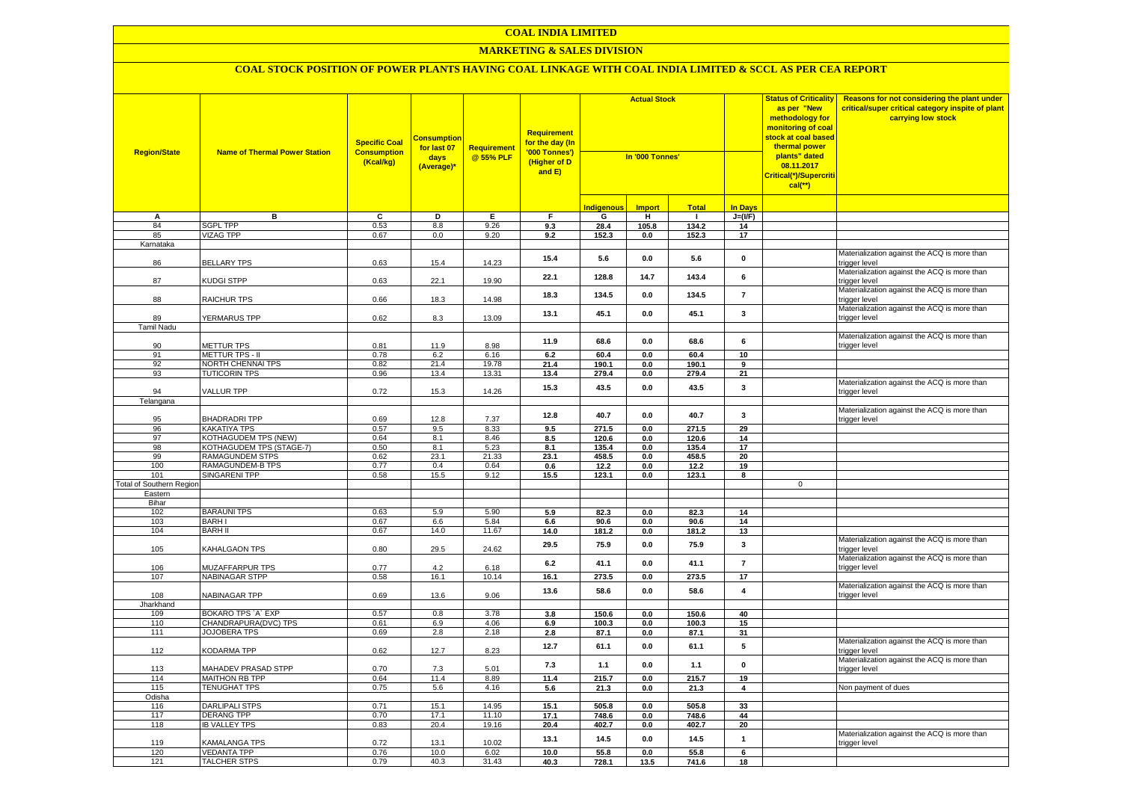## **COAL INDIA LIMITED**

#### **MARKETING & SALES DIVISION**

| <b>Region/State</b>      | <b>Name of Thermal Power Station</b>       | <b>Specific Coal</b><br><b>Consumption</b><br>(Kcal/kg) | <mark>Consumption</mark><br>for last 07<br>days<br>(Average)* | <b>Requirement</b><br>@ 55% PLF | <b>Requirement</b><br>for the day (In<br>'000 Tonnes')<br>(Higher of D<br>and E) | <b>Actual Stock</b><br>In '000 Tonnes' |               |              |                         | <b>Status of Criticality</b><br>as per "New<br>methodology for<br>monitoring of coal<br><mark>stock at coal based</mark><br>thermal power<br>plants" dated<br>08.11.2017<br>Critical(*)/Supercriti<br>$cal$ (**) | Reasons for not considering the plant under<br>critical/super critical category inspite of plant<br>carrying low stock |
|--------------------------|--------------------------------------------|---------------------------------------------------------|---------------------------------------------------------------|---------------------------------|----------------------------------------------------------------------------------|----------------------------------------|---------------|--------------|-------------------------|------------------------------------------------------------------------------------------------------------------------------------------------------------------------------------------------------------------|------------------------------------------------------------------------------------------------------------------------|
|                          |                                            |                                                         |                                                               |                                 |                                                                                  | <b>Indigenous</b>                      | <b>Import</b> | <b>Total</b> | <b>In Days</b>          |                                                                                                                                                                                                                  |                                                                                                                        |
| Α                        | в                                          | C                                                       | D                                                             | Е                               | F.                                                                               | G                                      | н.            | $\mathbf{L}$ | $J=(I/F)$               |                                                                                                                                                                                                                  |                                                                                                                        |
| 84                       | SGPL TPP                                   | 0.53                                                    | 8.8                                                           | 9.26                            | 9.3                                                                              | 28.4                                   | 105.8         | 134.2        | 14                      |                                                                                                                                                                                                                  |                                                                                                                        |
| 85                       | <b>VIZAG TPP</b>                           | 0.67                                                    | 0.0                                                           | 9.20                            | 9.2                                                                              | 152.3                                  | 0.0           | 152.3        | 17                      |                                                                                                                                                                                                                  |                                                                                                                        |
| Karnataka                |                                            |                                                         |                                                               |                                 |                                                                                  |                                        |               |              |                         |                                                                                                                                                                                                                  |                                                                                                                        |
| 86                       | <b>BELLARY TPS</b>                         | 0.63                                                    | 15.4                                                          | 14.23                           | 15.4                                                                             | 5.6                                    | 0.0           | 5.6          | $\mathbf 0$             |                                                                                                                                                                                                                  | Materialization against the ACQ is more than<br>trigger level                                                          |
| 87                       | KUDGI STPP                                 | 0.63                                                    | 22.1                                                          | 19.90                           | 22.1                                                                             | 128.8                                  | 14.7          | 143.4        | 6                       |                                                                                                                                                                                                                  | Materialization against the ACQ is more than<br>trigger level                                                          |
| 88                       | RAICHUR TPS                                | 0.66                                                    | 18.3                                                          | 14.98                           | 18.3                                                                             | 134.5                                  | 0.0           | 134.5        | $\overline{7}$          |                                                                                                                                                                                                                  | Materialization against the ACQ is more than<br>trigger level                                                          |
| 89                       | YERMARUS TPP                               | 0.62                                                    | 8.3                                                           | 13.09                           | 13.1                                                                             | 45.1                                   | 0.0           | 45.1         | 3                       |                                                                                                                                                                                                                  | Materialization against the ACQ is more than<br>trigger level                                                          |
| Tamil Nadu               |                                            |                                                         |                                                               |                                 |                                                                                  |                                        |               |              |                         |                                                                                                                                                                                                                  |                                                                                                                        |
| 90                       | <b>METTUR TPS</b>                          | 0.81                                                    | 11.9                                                          | 8.98                            | 11.9                                                                             | 68.6                                   | 0.0           | 68.6         | 6                       |                                                                                                                                                                                                                  | Materialization against the ACQ is more than<br>trigger level                                                          |
| 91                       | <b>METTUR TPS - II</b>                     | 0.78                                                    | 6.2                                                           | 6.16                            | 6.2                                                                              | 60.4                                   | 0.0           | 60.4         | 10                      |                                                                                                                                                                                                                  |                                                                                                                        |
| 92                       | <b>NORTH CHENNAI TPS</b>                   | 0.82                                                    | 21.4                                                          | 19.78                           | 21.4                                                                             | 190.1                                  | 0.0           | 190.1        | 9                       |                                                                                                                                                                                                                  |                                                                                                                        |
| 93                       | <b>TUTICORIN TPS</b>                       | 0.96                                                    | 13.4                                                          | 13.31                           | 13.4                                                                             | 279.4                                  | 0.0           | 279.4        | 21                      |                                                                                                                                                                                                                  |                                                                                                                        |
| 94                       | VALLUR TPP                                 | 0.72                                                    | 15.3                                                          | 14.26                           | 15.3                                                                             | 43.5                                   | 0.0           | 43.5         | 3                       |                                                                                                                                                                                                                  | Materialization against the ACQ is more than<br>trigger level                                                          |
| Telangana                |                                            |                                                         |                                                               |                                 |                                                                                  |                                        |               |              |                         |                                                                                                                                                                                                                  |                                                                                                                        |
|                          |                                            |                                                         |                                                               |                                 | 12.8                                                                             | 40.7                                   | 0.0           | 40.7         | 3                       |                                                                                                                                                                                                                  | Materialization against the ACQ is more than                                                                           |
| 95<br>96                 | <b>BHADRADRITPP</b><br><b>KAKATIYA TPS</b> | 0.69<br>0.57                                            | 12.8<br>9.5                                                   | 7.37<br>8.33                    |                                                                                  | 271.5                                  | 0.0           | 271.5        | 29                      |                                                                                                                                                                                                                  | trigger level                                                                                                          |
| 97                       | KOTHAGUDEM TPS (NEW)                       | 0.64                                                    | 8.1                                                           | 8.46                            | 9.5<br>8.5                                                                       | 120.6                                  | 0.0           | 120.6        | 14                      |                                                                                                                                                                                                                  |                                                                                                                        |
| 98                       | KOTHAGUDEM TPS (STAGE-7)                   | 0.50                                                    | 8.1                                                           | 5.23                            | 8.1                                                                              | 135.4                                  | 0.0           | 135.4        | 17                      |                                                                                                                                                                                                                  |                                                                                                                        |
| 99                       | <b>RAMAGUNDEM STPS</b>                     | 0.62                                                    | 23.1                                                          | 21.33                           | 23.1                                                                             | 458.5                                  | 0.0           | 458.5        | 20                      |                                                                                                                                                                                                                  |                                                                                                                        |
| 100                      | RAMAGUNDEM-B TPS                           | 0.77                                                    | 0.4                                                           | 0.64                            | 0.6                                                                              | 12.2                                   | 0.0           | 12.2         | 19                      |                                                                                                                                                                                                                  |                                                                                                                        |
| 101                      | SINGARENI TPP                              | 0.58                                                    | 15.5                                                          | 9.12                            | 15.5                                                                             | 123.1                                  | 0.0           | 123.1        | 8                       |                                                                                                                                                                                                                  |                                                                                                                        |
| Total of Southern Region |                                            |                                                         |                                                               |                                 |                                                                                  |                                        |               |              |                         | $\mathbf 0$                                                                                                                                                                                                      |                                                                                                                        |
| Eastern                  |                                            |                                                         |                                                               |                                 |                                                                                  |                                        |               |              |                         |                                                                                                                                                                                                                  |                                                                                                                        |
| Bihar<br>102             | <b>BARAUNI TPS</b>                         | 0.63                                                    | 5.9                                                           | 5.90                            | 5.9                                                                              | 82.3                                   | 0.0           | 82.3         | 14                      |                                                                                                                                                                                                                  |                                                                                                                        |
| 103                      | <b>BARHI</b>                               | 0.67                                                    | 6.6                                                           | 5.84                            | 6.6                                                                              | 90.6                                   | 0.0           | 90.6         | 14                      |                                                                                                                                                                                                                  |                                                                                                                        |
| 104                      | <b>BARH II</b>                             | 0.67                                                    | 14.0                                                          | 11.67                           | 14.0                                                                             | 181.2                                  | 0.0           | 181.2        | 13                      |                                                                                                                                                                                                                  |                                                                                                                        |
| 105                      | KAHALGAON TPS                              | 0.80                                                    | 29.5                                                          | 24.62                           | 29.5                                                                             | 75.9                                   | $0.0\,$       | 75.9         | 3                       |                                                                                                                                                                                                                  | Materialization against the ACQ is more than<br>trigger level                                                          |
| 106                      | MUZAFFARPUR TPS                            | 0.77                                                    | 4.2                                                           | 6.18                            | 6.2                                                                              | 41.1                                   | 0.0           | 41.1         | $\overline{7}$          |                                                                                                                                                                                                                  | Materialization against the ACQ is more than<br>trigger level                                                          |
| 107                      | <b>NABINAGAR STPP</b>                      | 0.58                                                    | 16.1                                                          | 10.14                           | 16.1                                                                             | 273.5                                  | 0.0           | 273.5        | 17                      |                                                                                                                                                                                                                  |                                                                                                                        |
| 108                      | NABINAGAR TPP                              | 0.69                                                    | 13.6                                                          | 9.06                            | 13.6                                                                             | 58.6                                   | 0.0           | 58.6         | 4                       |                                                                                                                                                                                                                  | Materialization against the ACQ is more than<br>trigger level                                                          |
| Jharkhand                |                                            |                                                         |                                                               |                                 |                                                                                  |                                        |               |              |                         |                                                                                                                                                                                                                  |                                                                                                                        |
| 109                      | BOKARO TPS 'A' EXP                         | 0.57                                                    | 0.8                                                           | 3.78                            | 3.8                                                                              | 150.6                                  | 0.0           | 150.6        | 40                      |                                                                                                                                                                                                                  |                                                                                                                        |
| 110<br>111               | CHANDRAPURA(DVC) TPS                       | 0.61                                                    | 6.9                                                           | 4.06                            | 6.9                                                                              | 100.3                                  | 0.0           | 100.3        | 15                      |                                                                                                                                                                                                                  |                                                                                                                        |
|                          | <b>JOJOBERA TPS</b>                        | 0.69                                                    | 2.8                                                           | 2.18                            | 2.8                                                                              | 87.1                                   | $0.0\,$       | 87.1         | 31                      |                                                                                                                                                                                                                  | Materialization against the ACQ is more than                                                                           |
| 112                      | <b>KODARMA TPP</b>                         | 0.62                                                    | 12.7                                                          | 8.23                            | 12.7                                                                             | 61.1                                   | 0.0           | 61.1         | 5                       |                                                                                                                                                                                                                  | trigger level                                                                                                          |
| 113                      | MAHADEV PRASAD STPP                        | 0.70                                                    | 7.3                                                           | 5.01                            | 7.3                                                                              | 1.1                                    | 0.0           | 1.1          | $\pmb{0}$               |                                                                                                                                                                                                                  | Materialization against the ACQ is more than<br>trigger level                                                          |
| 114                      | MAITHON RB TPP                             | 0.64                                                    | 11.4                                                          | 8.89                            | 11.4                                                                             | 215.7                                  | 0.0           | 215.7        | 19                      |                                                                                                                                                                                                                  |                                                                                                                        |
| 115<br>Odisha            | <b>TENUGHAT TPS</b>                        | 0.75                                                    | 5.6                                                           | 4.16                            | 5.6                                                                              | 21.3                                   | 0.0           | 21.3         | $\overline{\mathbf{4}}$ |                                                                                                                                                                                                                  | Non payment of dues                                                                                                    |
| 116                      | <b>DARLIPALI STPS</b>                      | 0.71                                                    | 15.1                                                          | 14.95                           | 15.1                                                                             | 505.8                                  | 0.0           | 505.8        | 33                      |                                                                                                                                                                                                                  |                                                                                                                        |
| 117                      | <b>DERANG TPP</b>                          | 0.70                                                    | 17.1                                                          | 11.10                           | 17.1                                                                             | 748.6                                  | 0.0           | 748.6        | 44                      |                                                                                                                                                                                                                  |                                                                                                                        |
| 118                      | <b>IB VALLEY TPS</b>                       | 0.83                                                    | 20.4                                                          | 19.16                           | 20.4                                                                             | 402.7                                  | 0.0           | 402.7        | 20                      |                                                                                                                                                                                                                  |                                                                                                                        |
| 119                      | <b>KAMALANGA TPS</b>                       | 0.72                                                    | 13.1                                                          | 10.02                           | 13.1                                                                             | 14.5                                   | 0.0           | 14.5         | $\mathbf{1}$            |                                                                                                                                                                                                                  | Materialization against the ACQ is more than<br>trigger level                                                          |
| 120                      | <b>VEDANTA TPP</b>                         | 0.76                                                    | 10.0                                                          | 6.02                            | 10.0                                                                             | 55.8                                   | 0.0           | 55.8         | 6                       |                                                                                                                                                                                                                  |                                                                                                                        |
| 121                      | <b>TALCHER STPS</b>                        | 0.79                                                    | 40.3                                                          | 31.43                           | 40.3                                                                             | 728.1                                  | 13.5          | 741.6        | 18                      |                                                                                                                                                                                                                  |                                                                                                                        |